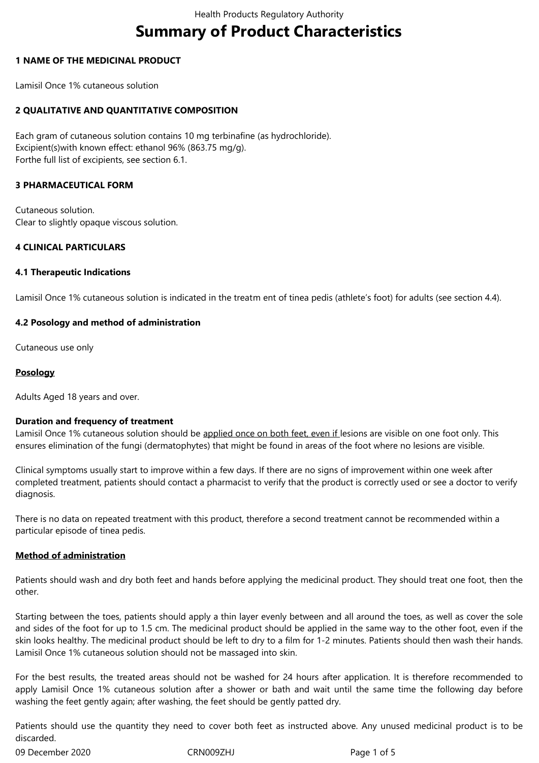# **Summary of Product Characteristics**

## **1 NAME OF THE MEDICINAL PRODUCT**

Lamisil Once 1% cutaneous solution

# **2 QUALITATIVE AND QUANTITATIVE COMPOSITION**

Each gram of cutaneous solution contains 10 mg terbinafine (as hydrochloride). Excipient(s)with known effect: ethanol 96% (863.75 mg/g). Forthe full list of excipients, see section 6.1.

### **3 PHARMACEUTICAL FORM**

Cutaneous solution. Clear to slightly opaque viscous solution.

### **4 CLINICAL PARTICULARS**

### **4.1 Therapeutic Indications**

Lamisil Once 1% cutaneous solution is indicated in the treatm ent of tinea pedis (athlete's foot) for adults (see section 4.4).

### **4.2 Posology and method of administration**

Cutaneous use only

### **Posology**

Adults Aged 18 years and over.

### **Duration and frequency of treatment**

Lamisil Once 1% cutaneous solution should be applied once on both feet, even if lesions are visible on one foot only. This ensures elimination of the fungi (dermatophytes) that might be found in areas of the foot where no lesions are visible.

Clinical symptoms usually start to improve within a few days. If there are no signs of improvement within one week after completed treatment, patients should contact a pharmacist to verify that the product is correctly used or see a doctor to verify diagnosis.

There is no data on repeated treatment with this product, therefore a second treatment cannot be recommended within a particular episode of tinea pedis.

# **Method of administration**

Patients should wash and dry both feet and hands before applying the medicinal product. They should treat one foot, then the other.

Starting between the toes, patients should apply a thin layer evenly between and all around the toes, as well as cover the sole and sides of the foot for up to 1.5 cm. The medicinal product should be applied in the same way to the other foot, even if the skin looks healthy. The medicinal product should be left to dry to a film for 1-2 minutes. Patients should then wash their hands. Lamisil Once 1% cutaneous solution should not be massaged into skin.

For the best results, the treated areas should not be washed for 24 hours after application. It is therefore recommended to apply Lamisil Once 1% cutaneous solution after a shower or bath and wait until the same time the following day before washing the feet gently again; after washing, the feet should be gently patted dry.

Patients should use the quantity they need to cover both feet as instructed above. Any unused medicinal product is to be discarded.

09 December 2020 CRN009ZHJ Page 1 of 5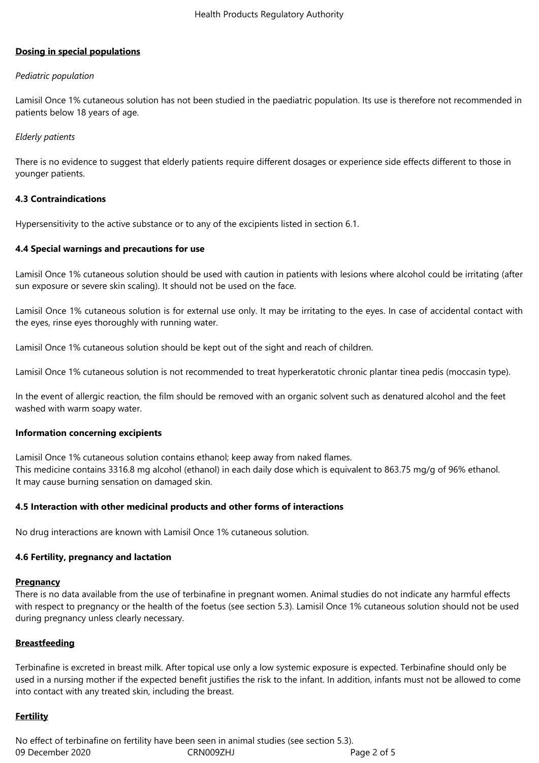## **Dosing in special populations**

### *Pediatric population*

Lamisil Once 1% cutaneous solution has not been studied in the paediatric population. Its use is therefore not recommended in patients below 18 years of age.

### *Elderly patients*

There is no evidence to suggest that elderly patients require different dosages or experience side effects different to those in younger patients.

### **4.3 Contraindications**

Hypersensitivity to the active substance or to any of the excipients listed in section 6.1.

### **4.4 Special warnings and precautions for use**

Lamisil Once 1% cutaneous solution should be used with caution in patients with lesions where alcohol could be irritating (after sun exposure or severe skin scaling). It should not be used on the face.

Lamisil Once 1% cutaneous solution is for external use only. It may be irritating to the eyes. In case of accidental contact with the eyes, rinse eyes thoroughly with running water.

Lamisil Once 1% cutaneous solution should be kept out of the sight and reach of children.

Lamisil Once 1% cutaneous solution is not recommended to treat hyperkeratotic chronic plantar tinea pedis (moccasin type).

In the event of allergic reaction, the film should be removed with an organic solvent such as denatured alcohol and the feet washed with warm soapy water.

### **Information concerning excipients**

Lamisil Once 1% cutaneous solution contains ethanol; keep away from naked flames. This medicine contains 3316.8 mg alcohol (ethanol) in each daily dose which is equivalent to 863.75 mg/g of 96% ethanol. It may cause burning sensation on damaged skin.

### **4.5 Interaction with other medicinal products and other forms of interactions**

No drug interactions are known with Lamisil Once 1% cutaneous solution.

### **4.6 Fertility, pregnancy and lactation**

#### **Pregnancy**

There is no data available from the use of terbinafine in pregnant women. Animal studies do not indicate any harmful effects with respect to pregnancy or the health of the foetus (see section 5.3). Lamisil Once 1% cutaneous solution should not be used during pregnancy unless clearly necessary.

### **Breastfeeding**

Terbinafine is excreted in breast milk. After topical use only a low systemic exposure is expected. Terbinafine should only be used in a nursing mother if the expected benefit justifies the risk to the infant. In addition, infants must not be allowed to come into contact with any treated skin, including the breast.

### **Fertility**

09 December 2020 CRN009ZHJ Page 2 of 5 No effect of terbinafine on fertility have been seen in animal studies (see section 5.3).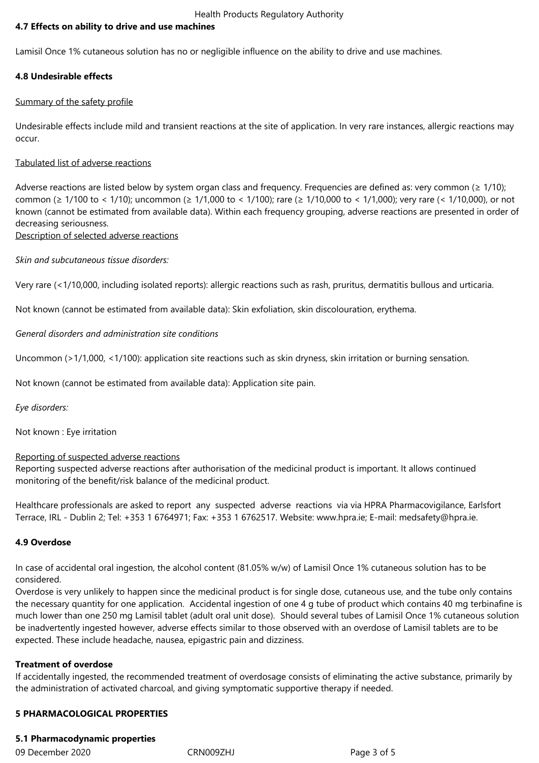Health Products Regulatory Authority

# **4.7 Effects on ability to drive and use machines**

Lamisil Once 1% cutaneous solution has no or negligible influence on the ability to drive and use machines.

### **4.8 Undesirable effects**

### Summary of the safety profile

Undesirable effects include mild and transient reactions at the site of application. In very rare instances, allergic reactions may occur.

### Tabulated list of adverse reactions

Adverse reactions are listed below by system organ class and frequency. Frequencies are defined as: very common ( $\geq$  1/10); common (≥ 1/100 to < 1/10); uncommon (≥ 1/1,000 to < 1/100); rare (≥ 1/10,000 to < 1/1,000); very rare (< 1/10,000), or not known (cannot be estimated from available data). Within each frequency grouping, adverse reactions are presented in order of decreasing seriousness.

# Description of selected adverse reactions

*Skin and subcutaneous tissue disorders:*

Very rare (<1/10,000, including isolated reports): allergic reactions such as rash, pruritus, dermatitis bullous and urticaria.

Not known (cannot be estimated from available data): Skin exfoliation, skin discolouration, erythema.

*General disorders and administration site conditions*

Uncommon (>1/1,000, <1/100): application site reactions such as skin dryness, skin irritation or burning sensation.

Not known (cannot be estimated from available data): Application site pain.

*Eye disorders:*

Not known : Eye irritation

# Reporting of suspected adverse reactions

Reporting suspected adverse reactions after authorisation of the medicinal product is important. It allows continued monitoring of the benefit/risk balance of the medicinal product.

Healthcare professionals are asked to report any suspected adverse reactions via via HPRA Pharmacovigilance, Earlsfort Terrace, IRL - Dublin 2; Tel: +353 1 6764971; Fax: +353 1 6762517. Website: www.hpra.ie; E-mail: medsafety@hpra.ie.

### **4.9 Overdose**

In case of accidental oral ingestion, the alcohol content (81.05% w/w) of Lamisil Once 1% cutaneous solution has to be considered.

Overdose is very unlikely to happen since the medicinal product is for single dose, cutaneous use, and the tube only contains the necessary quantity for one application. Accidental ingestion of one 4 g tube of product which contains 40 mg terbinafine is much lower than one 250 mg Lamisil tablet (adult oral unit dose). Should several tubes of Lamisil Once 1% cutaneous solution be inadvertently ingested however, adverse effects similar to those observed with an overdose of Lamisil tablets are to be expected. These include headache, nausea, epigastric pain and dizziness.

### **Treatment of overdose**

If accidentally ingested, the recommended treatment of overdosage consists of eliminating the active substance, primarily by the administration of activated charcoal, and giving symptomatic supportive therapy if needed.

### **5 PHARMACOLOGICAL PROPERTIES**

## **5.1 Pharmacodynamic properties**

09 December 2020 CRN009ZHJ Page 3 of 5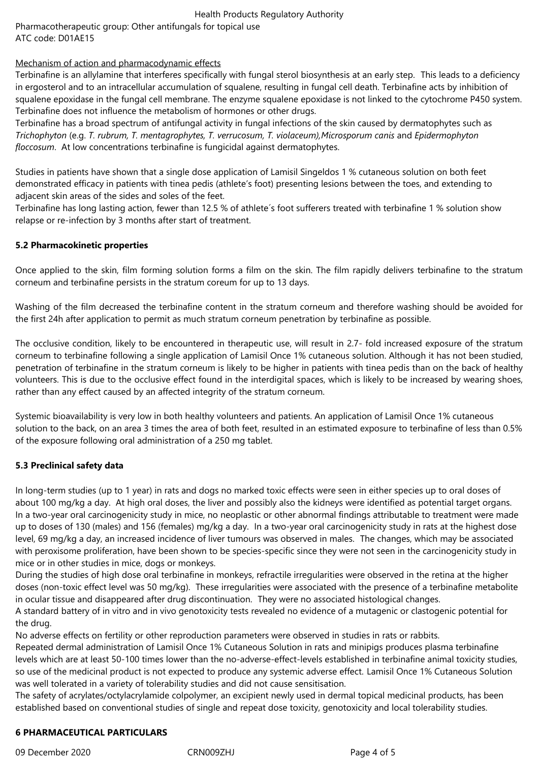# Health Products Regulatory Authority

Pharmacotherapeutic group: Other antifungals for topical use ATC code: D01AE15

# Mechanism of action and pharmacodynamic effects

Terbinafine is an allylamine that interferes specifically with fungal sterol biosynthesis at an early step. This leads to a deficiency in ergosterol and to an intracellular accumulation of squalene, resulting in fungal cell death. Terbinafine acts by inhibition of squalene epoxidase in the fungal cell membrane. The enzyme squalene epoxidase is not linked to the cytochrome P450 system. Terbinafine does not influence the metabolism of hormones or other drugs.

Terbinafine has a broad spectrum of antifungal activity in fungal infections of the skin caused by dermatophytes such as *Trichophyton* (e.g. *T. rubrum, T. mentagrophytes, T. verrucosum, T. violaceum),Microsporum canis* and *Epidermophyton floccosum*. At low concentrations terbinafine is fungicidal against dermatophytes.

Studies in patients have shown that a single dose application of Lamisil Singeldos 1 % cutaneous solution on both feet demonstrated efficacy in patients with tinea pedis (athlete's foot) presenting lesions between the toes, and extending to adjacent skin areas of the sides and soles of the feet.

Terbinafine has long lasting action, fewer than 12.5 % of athlete´s foot sufferers treated with terbinafine 1 % solution show relapse or re-infection by 3 months after start of treatment.

# **5.2 Pharmacokinetic properties**

Once applied to the skin, film forming solution forms a film on the skin. The film rapidly delivers terbinafine to the stratum corneum and terbinafine persists in the stratum coreum for up to 13 days.

Washing of the film decreased the terbinafine content in the stratum corneum and therefore washing should be avoided for the first 24h after application to permit as much stratum corneum penetration by terbinafine as possible.

The occlusive condition, likely to be encountered in therapeutic use, will result in 2.7- fold increased exposure of the stratum corneum to terbinafine following a single application of Lamisil Once 1% cutaneous solution. Although it has not been studied, penetration of terbinafine in the stratum corneum is likely to be higher in patients with tinea pedis than on the back of healthy volunteers. This is due to the occlusive effect found in the interdigital spaces, which is likely to be increased by wearing shoes, rather than any effect caused by an affected integrity of the stratum corneum.

Systemic bioavailability is very low in both healthy volunteers and patients. An application of Lamisil Once 1% cutaneous solution to the back, on an area 3 times the area of both feet, resulted in an estimated exposure to terbinafine of less than 0.5% of the exposure following oral administration of a 250 mg tablet.

# **5.3 Preclinical safety data**

In long-term studies (up to 1 year) in rats and dogs no marked toxic effects were seen in either species up to oral doses of about 100 mg/kg a day. At high oral doses, the liver and possibly also the kidneys were identified as potential target organs. In a two-year oral carcinogenicity study in mice, no neoplastic or other abnormal findings attributable to treatment were made up to doses of 130 (males) and 156 (females) mg/kg a day. In a two-year oral carcinogenicity study in rats at the highest dose level, 69 mg/kg a day, an increased incidence of liver tumours was observed in males. The changes, which may be associated with peroxisome proliferation, have been shown to be species-specific since they were not seen in the carcinogenicity study in mice or in other studies in mice, dogs or monkeys.

During the studies of high dose oral terbinafine in monkeys, refractile irregularities were observed in the retina at the higher doses (non-toxic effect level was 50 mg/kg). These irregularities were associated with the presence of a terbinafine metabolite in ocular tissue and disappeared after drug discontinuation. They were no associated histological changes.

A standard battery of in vitro and in vivo genotoxicity tests revealed no evidence of a mutagenic or clastogenic potential for the drug.

No adverse effects on fertility or other reproduction parameters were observed in studies in rats or rabbits.

Repeated dermal administration of Lamisil Once 1% Cutaneous Solution in rats and minipigs produces plasma terbinafine levels which are at least 50-100 times lower than the no-adverse-effect-levels established in terbinafine animal toxicity studies, so use of the medicinal product is not expected to produce any systemic adverse effect. Lamisil Once 1% Cutaneous Solution was well tolerated in a variety of tolerability studies and did not cause sensitisation.

The safety of acrylates/octylacrylamide colpolymer, an excipient newly used in dermal topical medicinal products, has been established based on conventional studies of single and repeat dose toxicity, genotoxicity and local tolerability studies.

# **6 PHARMACEUTICAL PARTICULARS**

09 December 2020 CRN009ZHJ Page 4 of 5